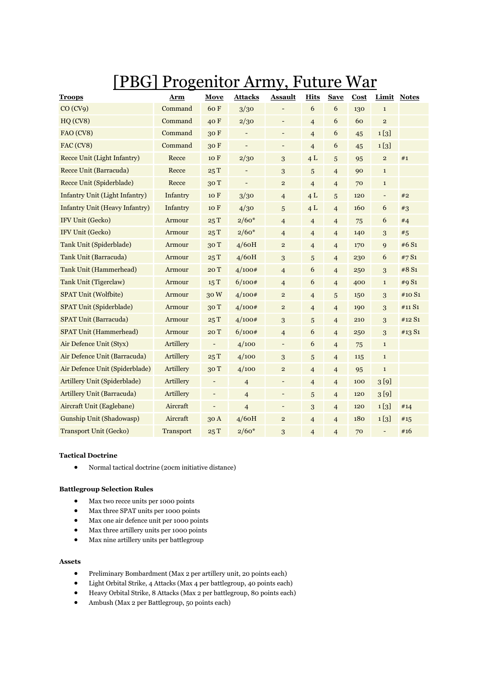# [PBG] Progenitor Army, Future War

| <b>Troops</b>                         | Arm              | Move                     | <b>Attacks</b> | <b>Assault</b>               | <b>Hits</b>      | <b>Save</b>              | Cost       |                          | Limit Notes |
|---------------------------------------|------------------|--------------------------|----------------|------------------------------|------------------|--------------------------|------------|--------------------------|-------------|
| CO (CV9)                              | Command          | 60F                      | 3/30           |                              | $\boldsymbol{6}$ | $\boldsymbol{6}$         | 130        | $\mathbf{1}$             |             |
| HQ(CV8)                               | Command          | 40 F                     | 2/30           | $\overline{\phantom{m}}$     | $\overline{4}$   | 6                        | 60         | $\overline{2}$           |             |
| FAO (CV8)                             | Command          | 30F                      |                | $\overline{\phantom{a}}$     | $\overline{4}$   | 6                        | 45         | 1 <sub>[3]</sub>         |             |
| FAC (CV8)                             | Command          | 30 F                     |                | $\qquad \qquad \blacksquare$ | $\overline{4}$   | $\boldsymbol{6}$         | 45         | 1 <sub>[3]</sub>         |             |
| Recce Unit (Light Infantry)           | Recce            | 10 F                     | 2/30           | 3                            | 4L               | 5                        | 95         | $\mathbf{2}$             | #1          |
| Recce Unit (Barracuda)                | Recce            | 25T                      |                | 3                            | 5                | $\overline{4}$           | 90         | $\mathbf{1}$             |             |
| Recce Unit (Spiderblade)              | Recce            | 30T                      |                | $\mathbf 2$                  | $\overline{4}$   | $\overline{4}$           | 70         | $1\,$                    |             |
| <b>Infantry Unit (Light Infantry)</b> | Infantry         | 10 F                     | 3/30           | $\overline{4}$               | 4L               | 5                        | 120        | $\overline{\phantom{a}}$ | #2          |
| <b>Infantry Unit (Heavy Infantry)</b> | Infantry         | 10 F                     | 4/30           | 5                            | 4L               | $\overline{4}$           | 160        | 6                        | #3          |
| IFV Unit (Gecko)                      | Armour           | 25T                      | $2/60*$        | $\overline{\mathbf{4}}$      | $\overline{4}$   | $\overline{4}$           | 75         | 6                        | #4          |
| IFV Unit (Gecko)                      | Armour           | 25T                      | $2/60*$        | $\overline{4}$               | $\overline{4}$   | $\overline{4}$           | 140        | 3                        | #5          |
| Tank Unit (Spiderblade)               | Armour           | 30T                      | 4/60H          | $\overline{\mathbf{c}}$      | $\overline{4}$   | $\overline{\mathcal{L}}$ | 170        | 9                        | #6 S1       |
| Tank Unit (Barracuda)                 | Armour           | 25T                      | 4/60H          | 3                            | 5                | $\overline{4}$           | 230        | 6                        | #7S1        |
| <b>Tank Unit (Hammerhead)</b>         | Armour           | 20T                      | 4/100#         | $\overline{4}$               | 6                | $\overline{4}$           | 250        | 3                        | #8 S1       |
| Tank Unit (Tigerclaw)                 | Armour           | 15T                      | 6/100#         | $\overline{4}$               | 6                | $\overline{4}$           | 400        | $\mathbf{1}$             | #9 S1       |
| <b>SPAT Unit (Wolfbite)</b>           | Armour           | 30W                      | 4/100#         | $\mathbf 2$                  | $\overline{4}$   | 5                        | 150        | 3                        | #10 S1      |
| <b>SPAT Unit (Spiderblade)</b>        | Armour           | 30T                      | 4/100#         | $\mathbf 2$                  | $\overline{4}$   | $\overline{4}$           | 190        | 3                        | #11 S1      |
| <b>SPAT Unit (Barracuda)</b>          | Armour           | 25T                      | 4/100#         | 3                            | 5                | $\overline{4}$           | 210        | 3                        | #12 S1      |
| <b>SPAT Unit (Hammerhead)</b>         | Armour           | 20 T                     | 6/100#         | $\overline{4}$               | 6                | $\overline{4}$           | 250        | 3                        | #13 S1      |
| Air Defence Unit (Styx)               | Artillery        | $\overline{\phantom{0}}$ | 4/100          | $\overline{\phantom{a}}$     | 6                | $\overline{4}$           | 75         | $\mathbf{1}$             |             |
| Air Defence Unit (Barracuda)          | Artillery        | 25T                      | 4/100          | $\sqrt{3}$                   | 5                | $\overline{4}$           | 115        | $\mathbf{1}$             |             |
| Air Defence Unit (Spiderblade)        | Artillery        | 30T                      | 4/100          | $\mathbf 2$                  | $\overline{4}$   | $\overline{4}$           | 95         | $\mathbf{1}$             |             |
| Artillery Unit (Spiderblade)          | Artillery        | $\overline{\phantom{0}}$ | $\overline{4}$ | $\overline{\phantom{0}}$     | $\overline{4}$   | $\overline{4}$           | 100        | 3 <sup>[9]</sup>         |             |
| <b>Artillery Unit (Barracuda)</b>     | Artillery        | -                        | $\overline{4}$ | $\overline{\phantom{a}}$     | 5                | $\overline{\mathbf{4}}$  | 120        | 3 <sup>[9]</sup>         |             |
| Aircraft Unit (Eaglebane)             | Aircraft         | -                        | $\overline{4}$ | $\overline{\phantom{0}}$     | 3                | $\overline{4}$           | 120        | 1 <sub>[3]</sub>         | #14         |
| <b>Gunship Unit (Shadowasp)</b>       | Aircraft         | 30 A                     | 4/60H          | $\mathbf 2$                  | $\overline{4}$   | $\overline{4}$           | <b>180</b> | 1 <sub>[3]</sub>         | #15         |
| <b>Transport Unit (Gecko)</b>         | <b>Transport</b> | 25T                      | $2/60*$        | 3                            | $\overline{4}$   | $\overline{4}$           | 70         | $\overline{\phantom{a}}$ | #16         |

# **Tactical Doctrine**

Normal tactical doctrine (20cm initiative distance)

## **Battlegroup Selection Rules**

- Max two recce units per 1000 points
- Max three SPAT units per 1000 points
- Max one air defence unit per 1000 points
- Max three artillery units per 1000 points
- Max nine artillery units per battlegroup

# **Assets**

- Preliminary Bombardment (Max 2 per artillery unit, 20 points each)
- Light Orbital Strike, 4 Attacks (Max 4 per battlegroup, 40 points each)
- Heavy Orbital Strike, 8 Attacks (Max 2 per battlegroup, 80 points each)
- Ambush (Max 2 per Battlegroup, 50 points each)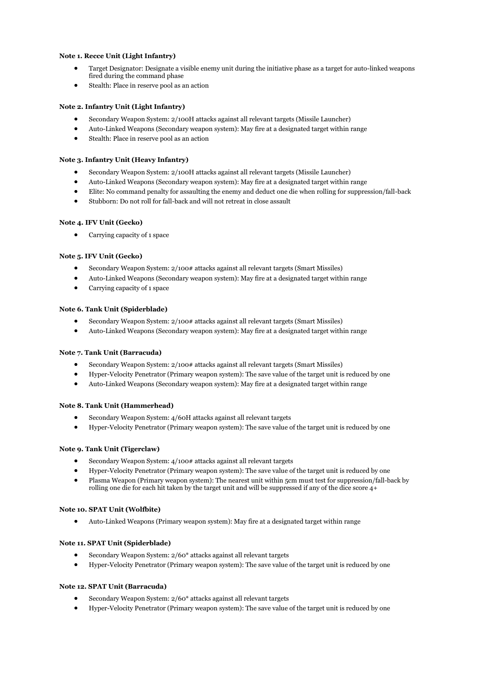## **Note 1. Recce Unit (Light Infantry)**

- Target Designator: Designate a visible enemy unit during the initiative phase as a target for auto-linked weapons fired during the command phase
- Stealth: Place in reserve pool as an action

## **Note 2. Infantry Unit (Light Infantry)**

- Secondary Weapon System: 2/100H attacks against all relevant targets (Missile Launcher)
- Auto-Linked Weapons (Secondary weapon system): May fire at a designated target within range
- Stealth: Place in reserve pool as an action

#### **Note 3. Infantry Unit (Heavy Infantry)**

- Secondary Weapon System: 2/100H attacks against all relevant targets (Missile Launcher)
- Auto-Linked Weapons (Secondary weapon system): May fire at a designated target within range
- Elite: No command penalty for assaulting the enemy and deduct one die when rolling for suppression/fall-back
- Stubborn: Do not roll for fall-back and will not retreat in close assault

## **Note 4. IFV Unit (Gecko)**

Carrying capacity of 1 space

## **Note 5. IFV Unit (Gecko)**

- Secondary Weapon System: 2/100# attacks against all relevant targets (Smart Missiles)
- Auto-Linked Weapons (Secondary weapon system): May fire at a designated target within range
- Carrying capacity of 1 space

## **Note 6. Tank Unit (Spiderblade)**

- Secondary Weapon System: 2/100# attacks against all relevant targets (Smart Missiles)
- Auto-Linked Weapons (Secondary weapon system): May fire at a designated target within range

#### **Note 7. Tank Unit (Barracuda)**

- Secondary Weapon System: 2/100# attacks against all relevant targets (Smart Missiles)
- Hyper-Velocity Penetrator (Primary weapon system): The save value of the target unit is reduced by one
- Auto-Linked Weapons (Secondary weapon system): May fire at a designated target within range

#### **Note 8. Tank Unit (Hammerhead)**

- Secondary Weapon System: 4/60H attacks against all relevant targets
- Hyper-Velocity Penetrator (Primary weapon system): The save value of the target unit is reduced by one

## **Note 9. Tank Unit (Tigerclaw)**

- Secondary Weapon System: 4/100# attacks against all relevant targets
- Hyper-Velocity Penetrator (Primary weapon system): The save value of the target unit is reduced by one
- Plasma Weapon (Primary weapon system): The nearest unit within 5cm must test for suppression/fall-back by rolling one die for each hit taken by the target unit and will be suppressed if any of the dice score 4+

#### **Note 10. SPAT Unit (Wolfbite)**

Auto-Linked Weapons (Primary weapon system): May fire at a designated target within range

#### **Note 11. SPAT Unit (Spiderblade)**

- Secondary Weapon System: 2/60\* attacks against all relevant targets
- Hyper-Velocity Penetrator (Primary weapon system): The save value of the target unit is reduced by one

#### **Note 12. SPAT Unit (Barracuda)**

- Secondary Weapon System: 2/60\* attacks against all relevant targets
- Hyper-Velocity Penetrator (Primary weapon system): The save value of the target unit is reduced by one